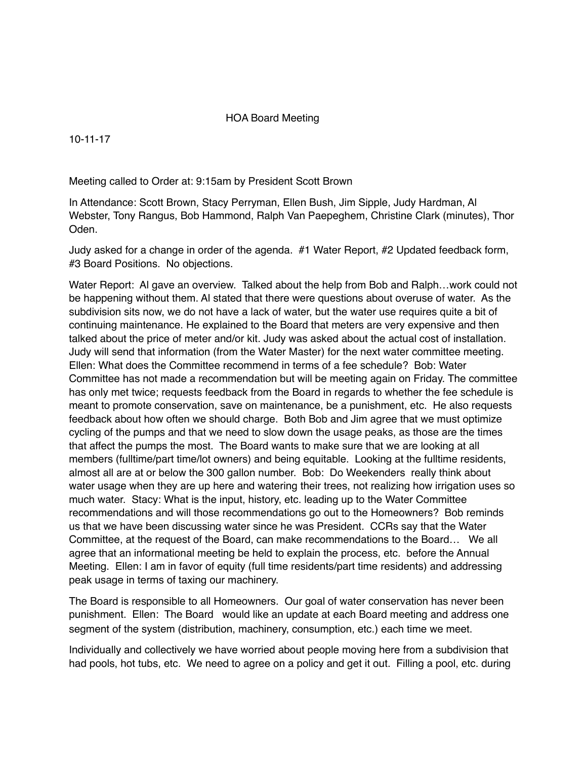## HOA Board Meeting

10-11-17

Meeting called to Order at: 9:15am by President Scott Brown

In Attendance: Scott Brown, Stacy Perryman, Ellen Bush, Jim Sipple, Judy Hardman, Al Webster, Tony Rangus, Bob Hammond, Ralph Van Paepeghem, Christine Clark (minutes), Thor Oden.

Judy asked for a change in order of the agenda. #1 Water Report, #2 Updated feedback form, #3 Board Positions. No objections.

Water Report: Al gave an overview. Talked about the help from Bob and Ralph…work could not be happening without them. Al stated that there were questions about overuse of water. As the subdivision sits now, we do not have a lack of water, but the water use requires quite a bit of continuing maintenance. He explained to the Board that meters are very expensive and then talked about the price of meter and/or kit. Judy was asked about the actual cost of installation. Judy will send that information (from the Water Master) for the next water committee meeting. Ellen: What does the Committee recommend in terms of a fee schedule? Bob: Water Committee has not made a recommendation but will be meeting again on Friday. The committee has only met twice; requests feedback from the Board in regards to whether the fee schedule is meant to promote conservation, save on maintenance, be a punishment, etc. He also requests feedback about how often we should charge. Both Bob and Jim agree that we must optimize cycling of the pumps and that we need to slow down the usage peaks, as those are the times that affect the pumps the most. The Board wants to make sure that we are looking at all members (fulltime/part time/lot owners) and being equitable. Looking at the fulltime residents, almost all are at or below the 300 gallon number. Bob: Do Weekenders really think about water usage when they are up here and watering their trees, not realizing how irrigation uses so much water. Stacy: What is the input, history, etc. leading up to the Water Committee recommendations and will those recommendations go out to the Homeowners? Bob reminds us that we have been discussing water since he was President. CCRs say that the Water Committee, at the request of the Board, can make recommendations to the Board… We all agree that an informational meeting be held to explain the process, etc. before the Annual Meeting. Ellen: I am in favor of equity (full time residents/part time residents) and addressing peak usage in terms of taxing our machinery.

The Board is responsible to all Homeowners. Our goal of water conservation has never been punishment. Ellen: The Board would like an update at each Board meeting and address one segment of the system (distribution, machinery, consumption, etc.) each time we meet.

Individually and collectively we have worried about people moving here from a subdivision that had pools, hot tubs, etc. We need to agree on a policy and get it out. Filling a pool, etc. during